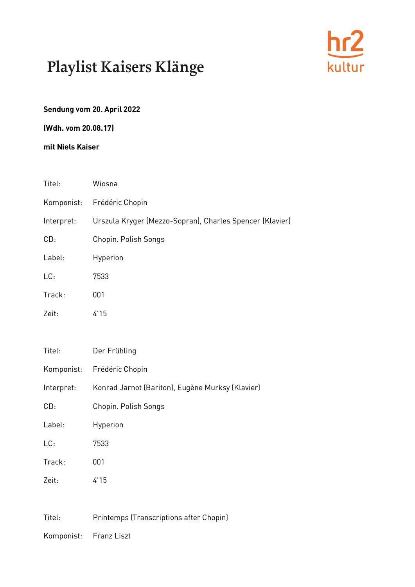

### **Sendung vom 20. April 2022**

**(Wdh. vom 20.08.17)**

#### **mit Niels Kaiser**

| Titel:     | Wiosna                                                   |
|------------|----------------------------------------------------------|
| Komponist: | Frédéric Chopin                                          |
| Interpret: | Urszula Kryger (Mezzo-Sopran), Charles Spencer (Klavier) |
| CD:        | Chopin. Polish Songs                                     |
| Label:     | Hyperion                                                 |
| LC:        | 7533                                                     |
| Track:     | 001                                                      |
| Zeit:      | 4'15                                                     |
| Titel:     | Der Frühling                                             |
| Komponist: | Frédéric Chopin                                          |
| Interpret: | Konrad Jarnot (Bariton), Eugène Murksy (Klavier)         |
| CD:        | Chopin. Polish Songs                                     |
| Label:     | Hyperion                                                 |
| LC:        | 7533                                                     |
| Track:     | 001                                                      |
| Zeit:      | 4'15                                                     |
| Titel:     | Printemps (Transcriptions after Chopin)                  |

Komponist: Franz Liszt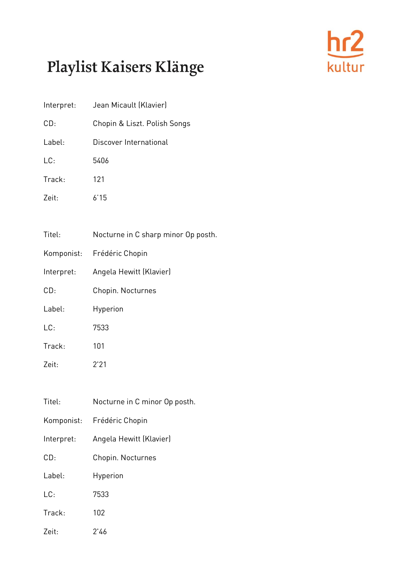

| Interpret: | Jean Micault (Klavier)              |
|------------|-------------------------------------|
| CD:        | Chopin & Liszt. Polish Songs        |
| Label:     | Discover International              |
| LC:        | 5406                                |
| Track:     | 121                                 |
| Zeit:      | 6'15                                |
|            |                                     |
| Titel:     | Nocturne in C sharp minor Op posth. |
| Komponist: | Frédéric Chopin                     |
| Interpret: | Angela Hewitt (Klavier)             |
| CD:        | Chopin. Nocturnes                   |
| Label:     | Hyperion                            |
| LC:        | 7533                                |
| Track:     | 101                                 |
| Zeit:      | 2'21                                |
|            |                                     |
| Titel:     | Nocturne in C minor Op posth.       |
| Komponist: | Frédéric Chopin                     |
| Interpret: | Angela Hewitt (Klavier)             |
| CD:        | Chopin. Nocturnes                   |
| Label:     | Hyperion                            |
| LC:        | 7533                                |
| Track:     | 102                                 |
| Zeit:      | 2'46                                |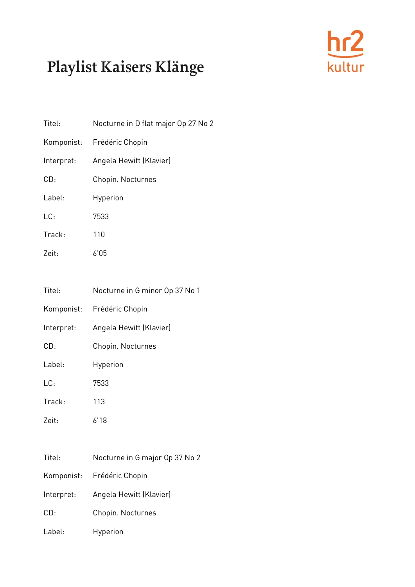

| Titel:     | Nocturne in D flat major Op 27 No 2 |
|------------|-------------------------------------|
| Komponist: | Frédéric Chopin                     |
| Interpret: | Angela Hewitt (Klavier)             |
| CD:        | Chopin. Nocturnes                   |
| Label:     | Hyperion                            |
| LC:        | 7533                                |
| Track:     | 110                                 |
| Zeit:      | 6'05                                |
|            |                                     |
| Titel:     | Nocturne in G minor Op 37 No 1      |
| Komponist: | Frédéric Chopin                     |
| Interpret: | Angela Hewitt (Klavier)             |
| CD:        | Chopin. Nocturnes                   |
| Label:     | Hyperion                            |
| LC:        | 7533                                |
| Track:     | 113                                 |
| Zeit:      | 6'18                                |

| Titel:     | Nocturne in G major Op 37 No 2 |
|------------|--------------------------------|
|            | Komponist: Frédéric Chopin     |
| Interpret: | Angela Hewitt (Klavier)        |
| CD:        | Chopin. Nocturnes              |
| Label:     | Hyperion                       |